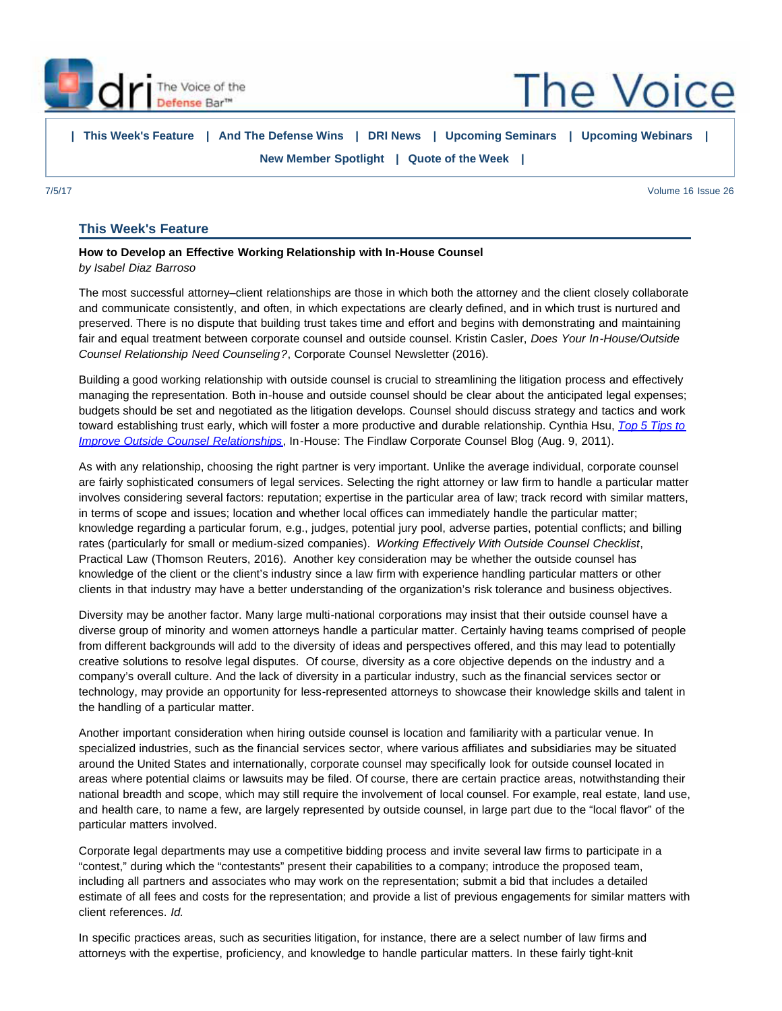<span id="page-0-0"></span>

**The Voice** 

**| [This Week's Feature](#page-0-0) | [And The Defense Wins](http://portal.criticalimpact.com/newsletter/newslettershow5.cfm?contentonly=1&content=196861&id=12451) | [DRI News](http://portal.criticalimpact.com/newsletter/newslettershow5.cfm?contentonly=1&content=196871&id=12451) | [Upcoming Seminars](http://portal.criticalimpact.com/newsletter/newslettershow5.cfm?contentonly=1&content=199161&id=12451) | [Upcoming Webinars](http://portal.criticalimpact.com/newsletter/newslettershow5.cfm?contentonly=1&content=199171&id=12451) | [New Member Spotlight](http://portal.criticalimpact.com/newsletter/newslettershow5.cfm?contentonly=1&content=196881&id=12451) | [Quote of the Week](http://portal.criticalimpact.com/newsletter/newslettershow5.cfm?contentonly=1&content=199121&id=12451) |**

7/5/17 Volume 16 Issue 26

## **This Week's Feature**

## **How to Develop an Effective Working Relationship with In-House Counsel** *by Isabel Diaz Barroso*

The most successful attorney–client relationships are those in which both the attorney and the client closely collaborate and communicate consistently, and often, in which expectations are clearly defined, and in which trust is nurtured and preserved. There is no dispute that building trust takes time and effort and begins with demonstrating and maintaining fair and equal treatment between corporate counsel and outside counsel. Kristin Casler, *Does Your In-House/Outside Counsel Relationship Need Counseling?*, Corporate Counsel Newsletter (2016).

Building a good working relationship with outside counsel is crucial to streamlining the litigation process and effectively managing the representation. Both in-house and outside counsel should be clear about the anticipated legal expenses; budgets should be set and negotiated as the litigation develops. Counsel should discuss strategy and tactics and work toward establishing trust early, which will foster a more productive and durable relationship. Cynthia Hsu, *[Top 5 Tips to](http://blogs.findlaw.com/in_house/2011/08/top-5-tips-to-improve-outside-counsel-relationships.html) [Improve Outside Counsel Relationships](http://blogs.findlaw.com/in_house/2011/08/top-5-tips-to-improve-outside-counsel-relationships.html)*, In-House: The Findlaw Corporate Counsel Blog (Aug. 9, 2011).

As with any relationship, choosing the right partner is very important. Unlike the average individual, corporate counsel are fairly sophisticated consumers of legal services. Selecting the right attorney or law firm to handle a particular matter involves considering several factors: reputation; expertise in the particular area of law; track record with similar matters, in terms of scope and issues; location and whether local offices can immediately handle the particular matter; knowledge regarding a particular forum, e.g., judges, potential jury pool, adverse parties, potential conflicts; and billing rates (particularly for small or medium-sized companies). *Working Effectively With Outside Counsel Checklist*, Practical Law (Thomson Reuters, 2016). Another key consideration may be whether the outside counsel has knowledge of the client or the client's industry since a law firm with experience handling particular matters or other clients in that industry may have a better understanding of the organization's risk tolerance and business objectives.

Diversity may be another factor. Many large multi-national corporations may insist that their outside counsel have a diverse group of minority and women attorneys handle a particular matter. Certainly having teams comprised of people from different backgrounds will add to the diversity of ideas and perspectives offered, and this may lead to potentially creative solutions to resolve legal disputes. Of course, diversity as a core objective depends on the industry and a company's overall culture. And the lack of diversity in a particular industry, such as the financial services sector or technology, may provide an opportunity for less-represented attorneys to showcase their knowledge skills and talent in the handling of a particular matter.

Another important consideration when hiring outside counsel is location and familiarity with a particular venue. In specialized industries, such as the financial services sector, where various affiliates and subsidiaries may be situated around the United States and internationally, corporate counsel may specifically look for outside counsel located in areas where potential claims or lawsuits may be filed. Of course, there are certain practice areas, notwithstanding their national breadth and scope, which may still require the involvement of local counsel. For example, real estate, land use, and health care, to name a few, are largely represented by outside counsel, in large part due to the "local flavor" of the particular matters involved.

Corporate legal departments may use a competitive bidding process and invite several law firms to participate in a "contest," during which the "contestants" present their capabilities to a company; introduce the proposed team, including all partners and associates who may work on the representation; submit a bid that includes a detailed estimate of all fees and costs for the representation; and provide a list of previous engagements for similar matters with client references. *Id.*

In specific practices areas, such as securities litigation, for instance, there are a select number of law firms and attorneys with the expertise, proficiency, and knowledge to handle particular matters. In these fairly tight-knit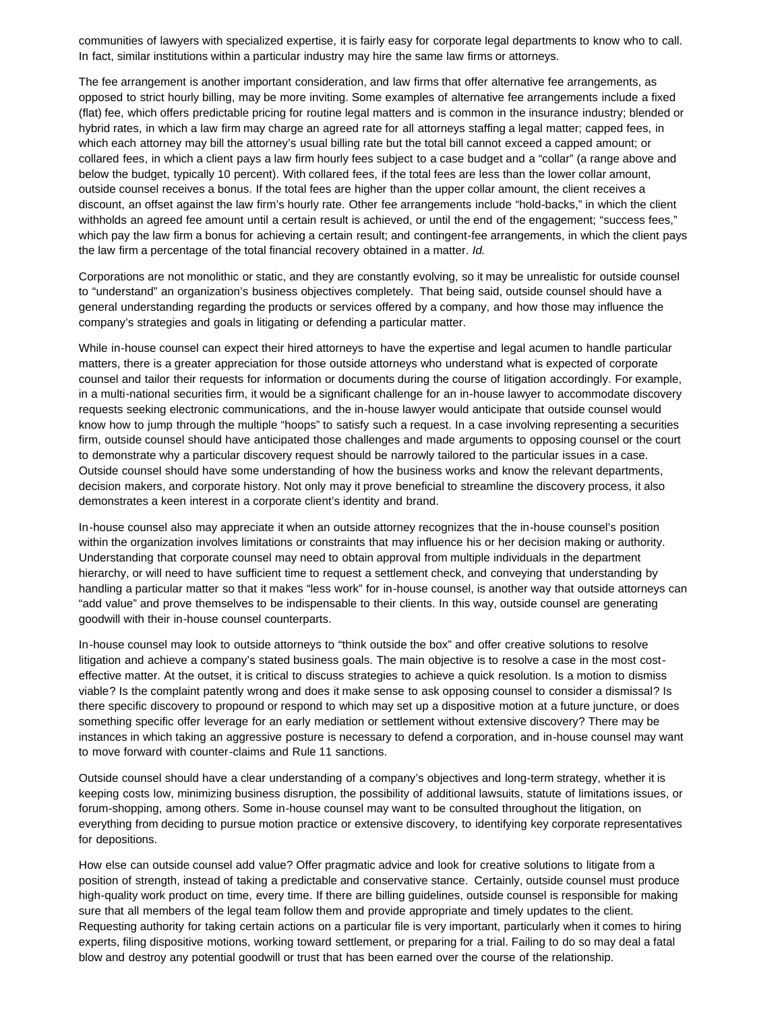communities of lawyers with specialized expertise, it is fairly easy for corporate legal departments to know who to call. In fact, similar institutions within a particular industry may hire the same law firms or attorneys.

The fee arrangement is another important consideration, and law firms that offer alternative fee arrangements, as opposed to strict hourly billing, may be more inviting. Some examples of alternative fee arrangements include a fixed (flat) fee, which offers predictable pricing for routine legal matters and is common in the insurance industry; blended or hybrid rates, in which a law firm may charge an agreed rate for all attorneys staffing a legal matter; capped fees, in which each attorney may bill the attorney's usual billing rate but the total bill cannot exceed a capped amount; or collared fees, in which a client pays a law firm hourly fees subject to a case budget and a "collar" (a range above and below the budget, typically 10 percent). With collared fees, if the total fees are less than the lower collar amount, outside counsel receives a bonus. If the total fees are higher than the upper collar amount, the client receives a discount, an offset against the law firm's hourly rate. Other fee arrangements include "hold-backs," in which the client withholds an agreed fee amount until a certain result is achieved, or until the end of the engagement; "success fees," which pay the law firm a bonus for achieving a certain result; and contingent-fee arrangements, in which the client pays the law firm a percentage of the total financial recovery obtained in a matter. *Id.*

Corporations are not monolithic or static, and they are constantly evolving, so it may be unrealistic for outside counsel to "understand" an organization's business objectives completely. That being said, outside counsel should have a general understanding regarding the products or services offered by a company, and how those may influence the company's strategies and goals in litigating or defending a particular matter.

While in-house counsel can expect their hired attorneys to have the expertise and legal acumen to handle particular matters, there is a greater appreciation for those outside attorneys who understand what is expected of corporate counsel and tailor their requests for information or documents during the course of litigation accordingly. For example, in a multi-national securities firm, it would be a significant challenge for an in-house lawyer to accommodate discovery requests seeking electronic communications, and the in-house lawyer would anticipate that outside counsel would know how to jump through the multiple "hoops" to satisfy such a request. In a case involving representing a securities firm, outside counsel should have anticipated those challenges and made arguments to opposing counsel or the court to demonstrate why a particular discovery request should be narrowly tailored to the particular issues in a case. Outside counsel should have some understanding of how the business works and know the relevant departments, decision makers, and corporate history. Not only may it prove beneficial to streamline the discovery process, it also demonstrates a keen interest in a corporate client's identity and brand.

In-house counsel also may appreciate it when an outside attorney recognizes that the in-house counsel's position within the organization involves limitations or constraints that may influence his or her decision making or authority. Understanding that corporate counsel may need to obtain approval from multiple individuals in the department hierarchy, or will need to have sufficient time to request a settlement check, and conveying that understanding by handling a particular matter so that it makes "less work" for in-house counsel, is another way that outside attorneys can "add value" and prove themselves to be indispensable to their clients. In this way, outside counsel are generating goodwill with their in-house counsel counterparts.

In-house counsel may look to outside attorneys to "think outside the box" and offer creative solutions to resolve litigation and achieve a company's stated business goals. The main objective is to resolve a case in the most costeffective matter. At the outset, it is critical to discuss strategies to achieve a quick resolution. Is a motion to dismiss viable? Is the complaint patently wrong and does it make sense to ask opposing counsel to consider a dismissal? Is there specific discovery to propound or respond to which may set up a dispositive motion at a future juncture, or does something specific offer leverage for an early mediation or settlement without extensive discovery? There may be instances in which taking an aggressive posture is necessary to defend a corporation, and in-house counsel may want to move forward with counter-claims and Rule 11 sanctions.

Outside counsel should have a clear understanding of a company's objectives and long-term strategy, whether it is keeping costs low, minimizing business disruption, the possibility of additional lawsuits, statute of limitations issues, or forum-shopping, among others. Some in-house counsel may want to be consulted throughout the litigation, on everything from deciding to pursue motion practice or extensive discovery, to identifying key corporate representatives for depositions.

How else can outside counsel add value? Offer pragmatic advice and look for creative solutions to litigate from a position of strength, instead of taking a predictable and conservative stance. Certainly, outside counsel must produce high-quality work product on time, every time. If there are billing guidelines, outside counsel is responsible for making sure that all members of the legal team follow them and provide appropriate and timely updates to the client. Requesting authority for taking certain actions on a particular file is very important, particularly when it comes to hiring experts, filing dispositive motions, working toward settlement, or preparing for a trial. Failing to do so may deal a fatal blow and destroy any potential goodwill or trust that has been earned over the course of the relationship.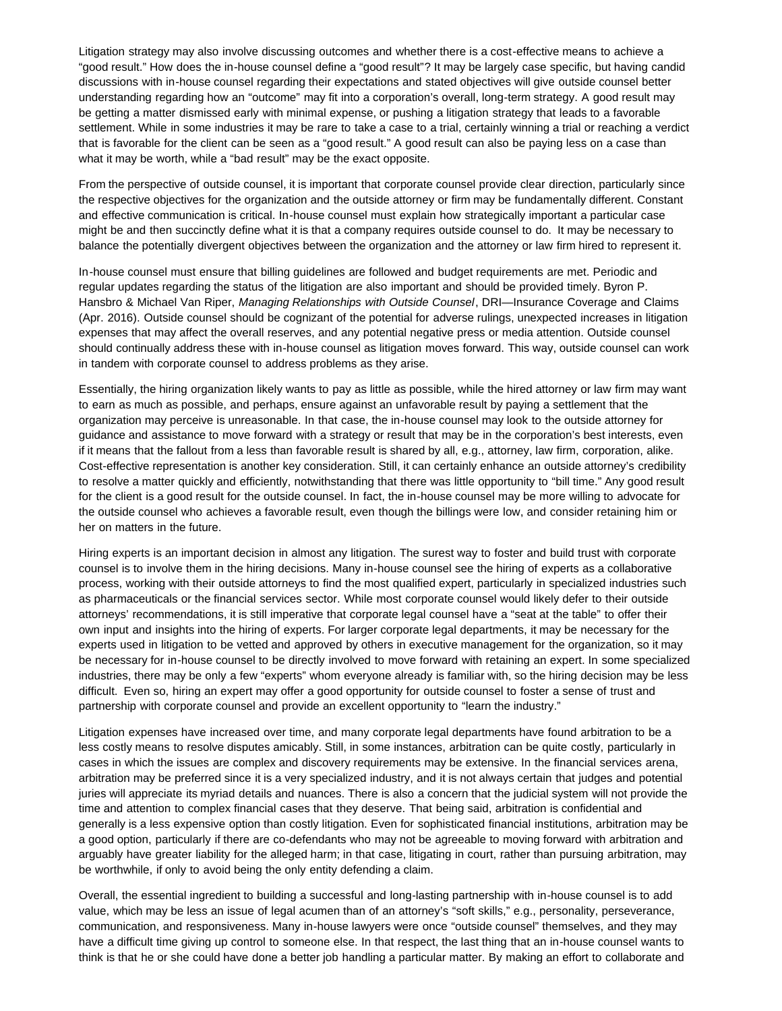Litigation strategy may also involve discussing outcomes and whether there is a cost-effective means to achieve a "good result." How does the in-house counsel define a "good result"? It may be largely case specific, but having candid discussions with in-house counsel regarding their expectations and stated objectives will give outside counsel better understanding regarding how an "outcome" may fit into a corporation's overall, long-term strategy. A good result may be getting a matter dismissed early with minimal expense, or pushing a litigation strategy that leads to a favorable settlement. While in some industries it may be rare to take a case to a trial, certainly winning a trial or reaching a verdict that is favorable for the client can be seen as a "good result." A good result can also be paying less on a case than what it may be worth, while a "bad result" may be the exact opposite.

From the perspective of outside counsel, it is important that corporate counsel provide clear direction, particularly since the respective objectives for the organization and the outside attorney or firm may be fundamentally different. Constant and effective communication is critical. In-house counsel must explain how strategically important a particular case might be and then succinctly define what it is that a company requires outside counsel to do. It may be necessary to balance the potentially divergent objectives between the organization and the attorney or law firm hired to represent it.

In-house counsel must ensure that billing guidelines are followed and budget requirements are met. Periodic and regular updates regarding the status of the litigation are also important and should be provided timely. Byron P. Hansbro & Michael Van Riper, *Managing Relationships with Outside Counsel*, DRI—Insurance Coverage and Claims (Apr. 2016). Outside counsel should be cognizant of the potential for adverse rulings, unexpected increases in litigation expenses that may affect the overall reserves, and any potential negative press or media attention. Outside counsel should continually address these with in-house counsel as litigation moves forward. This way, outside counsel can work in tandem with corporate counsel to address problems as they arise.

Essentially, the hiring organization likely wants to pay as little as possible, while the hired attorney or law firm may want to earn as much as possible, and perhaps, ensure against an unfavorable result by paying a settlement that the organization may perceive is unreasonable. In that case, the in-house counsel may look to the outside attorney for guidance and assistance to move forward with a strategy or result that may be in the corporation's best interests, even if it means that the fallout from a less than favorable result is shared by all, e.g., attorney, law firm, corporation, alike. Cost-effective representation is another key consideration. Still, it can certainly enhance an outside attorney's credibility to resolve a matter quickly and efficiently, notwithstanding that there was little opportunity to "bill time." Any good result for the client is a good result for the outside counsel. In fact, the in-house counsel may be more willing to advocate for the outside counsel who achieves a favorable result, even though the billings were low, and consider retaining him or her on matters in the future.

Hiring experts is an important decision in almost any litigation. The surest way to foster and build trust with corporate counsel is to involve them in the hiring decisions. Many in-house counsel see the hiring of experts as a collaborative process, working with their outside attorneys to find the most qualified expert, particularly in specialized industries such as pharmaceuticals or the financial services sector. While most corporate counsel would likely defer to their outside attorneys' recommendations, it is still imperative that corporate legal counsel have a "seat at the table" to offer their own input and insights into the hiring of experts. For larger corporate legal departments, it may be necessary for the experts used in litigation to be vetted and approved by others in executive management for the organization, so it may be necessary for in-house counsel to be directly involved to move forward with retaining an expert. In some specialized industries, there may be only a few "experts" whom everyone already is familiar with, so the hiring decision may be less difficult. Even so, hiring an expert may offer a good opportunity for outside counsel to foster a sense of trust and partnership with corporate counsel and provide an excellent opportunity to "learn the industry."

Litigation expenses have increased over time, and many corporate legal departments have found arbitration to be a less costly means to resolve disputes amicably. Still, in some instances, arbitration can be quite costly, particularly in cases in which the issues are complex and discovery requirements may be extensive. In the financial services arena, arbitration may be preferred since it is a very specialized industry, and it is not always certain that judges and potential juries will appreciate its myriad details and nuances. There is also a concern that the judicial system will not provide the time and attention to complex financial cases that they deserve. That being said, arbitration is confidential and generally is a less expensive option than costly litigation. Even for sophisticated financial institutions, arbitration may be a good option, particularly if there are co-defendants who may not be agreeable to moving forward with arbitration and arguably have greater liability for the alleged harm; in that case, litigating in court, rather than pursuing arbitration, may be worthwhile, if only to avoid being the only entity defending a claim.

Overall, the essential ingredient to building a successful and long-lasting partnership with in-house counsel is to add value, which may be less an issue of legal acumen than of an attorney's "soft skills," e.g., personality, perseverance, communication, and responsiveness. Many in-house lawyers were once "outside counsel" themselves, and they may have a difficult time giving up control to someone else. In that respect, the last thing that an in-house counsel wants to think is that he or she could have done a better job handling a particular matter. By making an effort to collaborate and